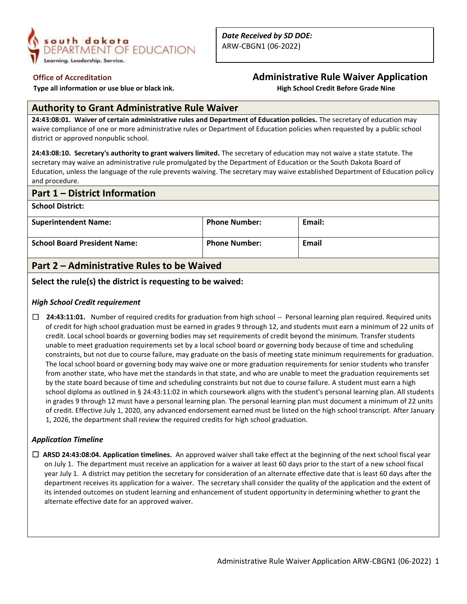

 **Type all information or use blue or black ink. High School Credit Before Grade Nine**

## **Office of Accreditation Administrative Rule Waiver Application**

## **Authority to Grant Administrative Rule Waiver**

**24:43:08:01. Waiver of certain administrative rules and Department of Education policies.** The secretary of education may waive compliance of one or more administrative rules or Department of Education policies when requested by a public school district or approved nonpublic school.

**24:43:08:10. Secretary's authority to grant waivers limited.** The secretary of education may not waive a state statute. The secretary may waive an administrative rule promulgated by the Department of Education or the South Dakota Board of Education, unless the language of the rule prevents waiving. The secretary may waive established Department of Education policy and procedure.

### **Part 1 – District Information**

**School District:**

| <b>Superintendent Name:</b>             | <b>Phone Number:</b> | Email: |
|-----------------------------------------|----------------------|--------|
| <b>School Board President Name:</b>     | <b>Phone Number:</b> | Email  |
| _ _ _ _ _ _ _ _ _ _ _ _ _ _ _ _ _ _ _ _ |                      |        |

## **Part 2 – Administrative Rules to be Waived**

#### **Select the rule(s) the district is requesting to be waived:**

#### *High School Credit requirement*

☐ **24:43:11:01.** Number of required credits for graduation from high school -- Personal learning plan required. Required units of credit for high school graduation must be earned in grades 9 through 12, and students must earn a minimum of 22 units of credit. Local school boards or governing bodies may set requirements of credit beyond the minimum. Transfer students unable to meet graduation requirements set by a local school board or governing body because of time and scheduling constraints, but not due to course failure, may graduate on the basis of meeting state minimum requirements for graduation. The local school board or governing body may waive one or more graduation requirements for senior students who transfer from another state, who have met the standards in that state, and who are unable to meet the graduation requirements set by the state board because of time and scheduling constraints but not due to course failure. A student must earn a high school diploma as outlined in § 24:43:11:02 in which coursework aligns with the student's personal learning plan. All students in grades 9 through 12 must have a personal learning plan. The personal learning plan must document a minimum of 22 units of credit. Effective July 1, 2020, any advanced endorsement earned must be listed on the high school transcript. After January 1, 2026, the department shall review the required credits for high school graduation.

#### *Application Timeline*

☐ **ARSD 24:43:08:04. Application timelines.** An approved waiver shall take effect at the beginning of the next school fiscal year on July 1. The department must receive an application for a waiver at least 60 days prior to the start of a new school fiscal year July 1. A district may petition the secretary for consideration of an alternate effective date that is least 60 days after the department receives its application for a waiver. The secretary shall consider the quality of the application and the extent of its intended outcomes on student learning and enhancement of student opportunity in determining whether to grant the alternate effective date for an approved waiver.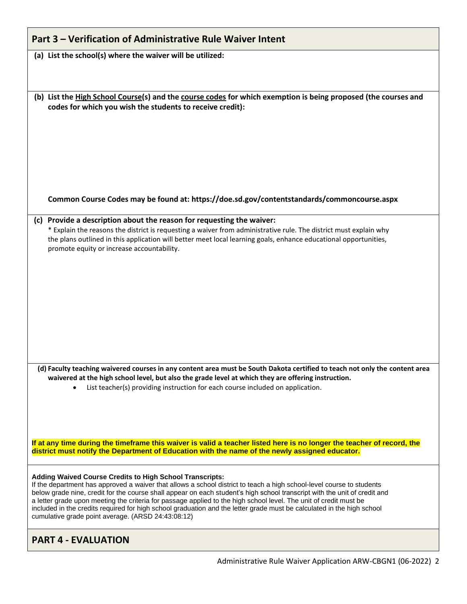| Part 3 – Verification of Administrative Rule Waiver Intent |  |
|------------------------------------------------------------|--|
|------------------------------------------------------------|--|

**(a) List the school(s) where the waiver will be utilized:**

**(b) List the High School Course(s) and the course codes for which exemption is being proposed (the courses and codes for which you wish the students to receive credit):**

**Common Course Codes may be found at: https://doe.sd.gov/contentstandards/commoncourse.aspx**

## **(c) Provide a description about the reason for requesting the waiver:**

\* Explain the reasons the district is requesting a waiver from administrative rule. The district must explain why the plans outlined in this application will better meet local learning goals, enhance educational opportunities, promote equity or increase accountability.

**(d) Faculty teaching waivered courses in any content area must be South Dakota certified to teach not only the content area waivered at the high school level, but also the grade level at which they are offering instruction.**

• List teacher(s) providing instruction for each course included on application.

**If at any time during the timeframe this waiver is valid a teacher listed here is no longer the teacher of record, the district must notify the Department of Education with the name of the newly assigned educator.**

#### **Adding Waived Course Credits to High School Transcripts:**

If the department has approved a waiver that allows a school district to teach a high school-level course to students below grade nine, credit for the course shall appear on each student's high school transcript with the unit of credit and a letter grade upon meeting the criteria for passage applied to the high school level. The unit of credit must be included in the credits required for high school graduation and the letter grade must be calculated in the high school cumulative grade point average. (ARSD 24:43:08:12)

# **PART 4 - EVALUATION**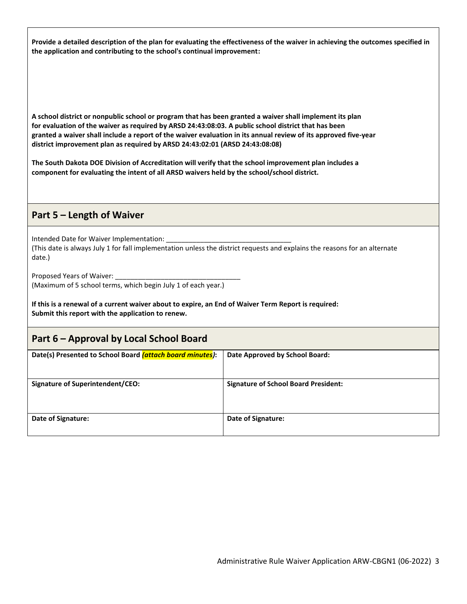**Provide a detailed description of the plan for evaluating the effectiveness of the waiver in achieving the outcomes specified in the application and contributing to the school's continual improvement:**

**A school district or nonpublic school or program that has been granted a waiver shall implement its plan for evaluation of the waiver as required by ARSD 24:43:08:03. A public school district that has been granted a waiver shall include a report of the waiver evaluation in its annual review of its approved five-year district improvement plan as required by ARSD 24:43:02:01 (ARSD 24:43:08:08)**

**The South Dakota DOE Division of Accreditation will verify that the school improvement plan includes a component for evaluating the intent of all ARSD waivers held by the school/school district.**

## **Part 5 – Length of Waiver**

Intended Date for Waiver Implementation: (This date is always July 1 for fall implementation unless the district requests and explains the reasons for an alternate date.)

Proposed Years of Waiver: (Maximum of 5 school terms, which begin July 1 of each year.)

**If this is a renewal of a current waiver about to expire, an End of Waiver Term Report is required: Submit this report with the application to renew.**

## **Part 6 – Approval by Local School Board**

| Date(s) Presented to School Board <i>(attach board minutes)</i> : | Date Approved by School Board:              |
|-------------------------------------------------------------------|---------------------------------------------|
|                                                                   |                                             |
| <b>Signature of Superintendent/CEO:</b>                           | <b>Signature of School Board President:</b> |
|                                                                   |                                             |
|                                                                   |                                             |
| Date of Signature:                                                | Date of Signature:                          |
|                                                                   |                                             |